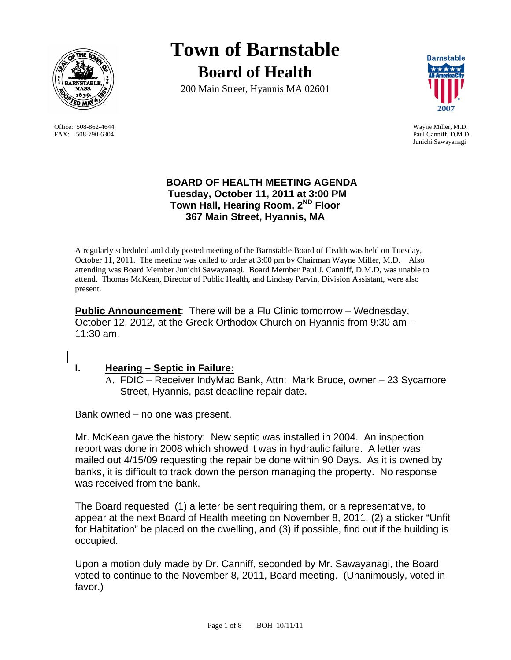

Office: 508-862-4644 Wayne Miller, M.D. FAX: 508-790-6304 Paul Canniff, D.M.D.

**Town of Barnstable Board of Health**

200 Main Street, Hyannis MA 02601



Junichi Sawayanagi

### **BOARD OF HEALTH MEETING AGENDA Tuesday, October 11, 2011 at 3:00 PM Town Hall, Hearing Room, 2ND Floor 367 Main Street, Hyannis, MA**

A regularly scheduled and duly posted meeting of the Barnstable Board of Health was held on Tuesday, October 11, 2011. The meeting was called to order at 3:00 pm by Chairman Wayne Miller, M.D. Also attending was Board Member Junichi Sawayanagi. Board Member Paul J. Canniff, D.M.D, was unable to attend. Thomas McKean, Director of Public Health, and Lindsay Parvin, Division Assistant, were also present.

**Public Announcement**: There will be a Flu Clinic tomorrow – Wednesday, October 12, 2012, at the Greek Orthodox Church on Hyannis from 9:30 am – 11:30 am.

# **I. Hearing – Septic in Failure:**

A. FDIC – Receiver IndyMac Bank, Attn: Mark Bruce, owner – 23 Sycamore Street, Hyannis, past deadline repair date.

Bank owned – no one was present.

Mr. McKean gave the history: New septic was installed in 2004. An inspection report was done in 2008 which showed it was in hydraulic failure. A letter was mailed out 4/15/09 requesting the repair be done within 90 Days. As it is owned by banks, it is difficult to track down the person managing the property. No response was received from the bank.

The Board requested (1) a letter be sent requiring them, or a representative, to appear at the next Board of Health meeting on November 8, 2011, (2) a sticker "Unfit for Habitation" be placed on the dwelling, and (3) if possible, find out if the building is occupied.

Upon a motion duly made by Dr. Canniff, seconded by Mr. Sawayanagi, the Board voted to continue to the November 8, 2011, Board meeting. (Unanimously, voted in favor.)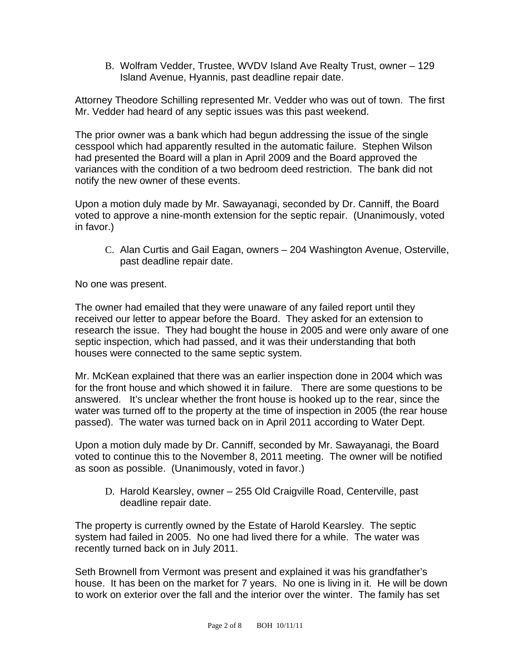B. Wolfram Vedder, Trustee, WVDV Island Ave Realty Trust, owner – 129 Island Avenue, Hyannis, past deadline repair date.

Attorney Theodore Schilling represented Mr. Vedder who was out of town. The first Mr. Vedder had heard of any septic issues was this past weekend.

The prior owner was a bank which had begun addressing the issue of the single cesspool which had apparently resulted in the automatic failure. Stephen Wilson had presented the Board will a plan in April 2009 and the Board approved the variances with the condition of a two bedroom deed restriction. The bank did not notify the new owner of these events.

Upon a motion duly made by Mr. Sawayanagi, seconded by Dr. Canniff, the Board voted to approve a nine-month extension for the septic repair. (Unanimously, voted in favor.)

C. Alan Curtis and Gail Eagan, owners – 204 Washington Avenue, Osterville, past deadline repair date.

No one was present.

The owner had emailed that they were unaware of any failed report until they received our letter to appear before the Board. They asked for an extension to research the issue. They had bought the house in 2005 and were only aware of one septic inspection, which had passed, and it was their understanding that both houses were connected to the same septic system.

Mr. McKean explained that there was an earlier inspection done in 2004 which was for the front house and which showed it in failure. There are some questions to be answered. It's unclear whether the front house is hooked up to the rear, since the water was turned off to the property at the time of inspection in 2005 (the rear house passed). The water was turned back on in April 2011 according to Water Dept.

Upon a motion duly made by Dr. Canniff, seconded by Mr. Sawayanagi, the Board voted to continue this to the November 8, 2011 meeting. The owner will be notified as soon as possible. (Unanimously, voted in favor.)

D. Harold Kearsley, owner – 255 Old Craigville Road, Centerville, past deadline repair date.

The property is currently owned by the Estate of Harold Kearsley. The septic system had failed in 2005. No one had lived there for a while. The water was recently turned back on in July 2011.

Seth Brownell from Vermont was present and explained it was his grandfather's house. It has been on the market for 7 years. No one is living in it. He will be down to work on exterior over the fall and the interior over the winter. The family has set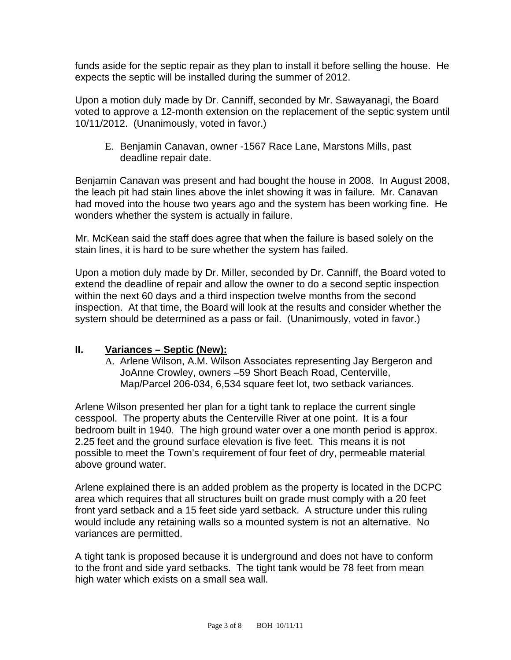funds aside for the septic repair as they plan to install it before selling the house. He expects the septic will be installed during the summer of 2012.

Upon a motion duly made by Dr. Canniff, seconded by Mr. Sawayanagi, the Board voted to approve a 12-month extension on the replacement of the septic system until 10/11/2012. (Unanimously, voted in favor.)

E. Benjamin Canavan, owner -1567 Race Lane, Marstons Mills, past deadline repair date.

Benjamin Canavan was present and had bought the house in 2008. In August 2008, the leach pit had stain lines above the inlet showing it was in failure. Mr. Canavan had moved into the house two years ago and the system has been working fine. He wonders whether the system is actually in failure.

Mr. McKean said the staff does agree that when the failure is based solely on the stain lines, it is hard to be sure whether the system has failed.

Upon a motion duly made by Dr. Miller, seconded by Dr. Canniff, the Board voted to extend the deadline of repair and allow the owner to do a second septic inspection within the next 60 days and a third inspection twelve months from the second inspection. At that time, the Board will look at the results and consider whether the system should be determined as a pass or fail. (Unanimously, voted in favor.)

#### **II. Variances – Septic (New):**

A. Arlene Wilson, A.M. Wilson Associates representing Jay Bergeron and JoAnne Crowley, owners –59 Short Beach Road, Centerville, Map/Parcel 206-034, 6,534 square feet lot, two setback variances.

Arlene Wilson presented her plan for a tight tank to replace the current single cesspool. The property abuts the Centerville River at one point. It is a four bedroom built in 1940. The high ground water over a one month period is approx. 2.25 feet and the ground surface elevation is five feet. This means it is not possible to meet the Town's requirement of four feet of dry, permeable material above ground water.

Arlene explained there is an added problem as the property is located in the DCPC area which requires that all structures built on grade must comply with a 20 feet front yard setback and a 15 feet side yard setback. A structure under this ruling would include any retaining walls so a mounted system is not an alternative. No variances are permitted.

A tight tank is proposed because it is underground and does not have to conform to the front and side yard setbacks. The tight tank would be 78 feet from mean high water which exists on a small sea wall.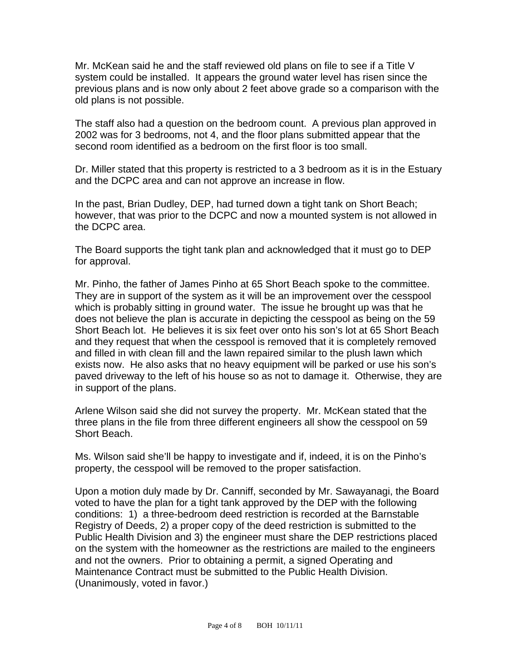Mr. McKean said he and the staff reviewed old plans on file to see if a Title V system could be installed. It appears the ground water level has risen since the previous plans and is now only about 2 feet above grade so a comparison with the old plans is not possible.

The staff also had a question on the bedroom count. A previous plan approved in 2002 was for 3 bedrooms, not 4, and the floor plans submitted appear that the second room identified as a bedroom on the first floor is too small.

Dr. Miller stated that this property is restricted to a 3 bedroom as it is in the Estuary and the DCPC area and can not approve an increase in flow.

In the past, Brian Dudley, DEP, had turned down a tight tank on Short Beach; however, that was prior to the DCPC and now a mounted system is not allowed in the DCPC area.

The Board supports the tight tank plan and acknowledged that it must go to DEP for approval.

Mr. Pinho, the father of James Pinho at 65 Short Beach spoke to the committee. They are in support of the system as it will be an improvement over the cesspool which is probably sitting in ground water. The issue he brought up was that he does not believe the plan is accurate in depicting the cesspool as being on the 59 Short Beach lot. He believes it is six feet over onto his son's lot at 65 Short Beach and they request that when the cesspool is removed that it is completely removed and filled in with clean fill and the lawn repaired similar to the plush lawn which exists now. He also asks that no heavy equipment will be parked or use his son's paved driveway to the left of his house so as not to damage it. Otherwise, they are in support of the plans.

Arlene Wilson said she did not survey the property. Mr. McKean stated that the three plans in the file from three different engineers all show the cesspool on 59 Short Beach.

Ms. Wilson said she'll be happy to investigate and if, indeed, it is on the Pinho's property, the cesspool will be removed to the proper satisfaction.

Upon a motion duly made by Dr. Canniff, seconded by Mr. Sawayanagi, the Board voted to have the plan for a tight tank approved by the DEP with the following conditions: 1) a three-bedroom deed restriction is recorded at the Barnstable Registry of Deeds, 2) a proper copy of the deed restriction is submitted to the Public Health Division and 3) the engineer must share the DEP restrictions placed on the system with the homeowner as the restrictions are mailed to the engineers and not the owners. Prior to obtaining a permit, a signed Operating and Maintenance Contract must be submitted to the Public Health Division. (Unanimously, voted in favor.)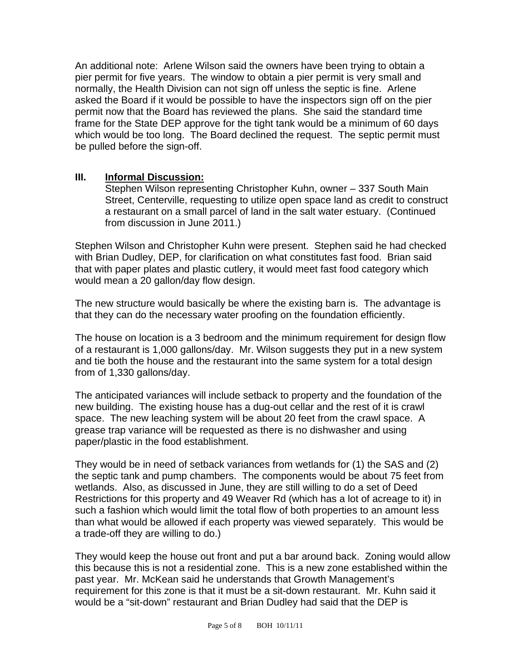An additional note: Arlene Wilson said the owners have been trying to obtain a pier permit for five years. The window to obtain a pier permit is very small and normally, the Health Division can not sign off unless the septic is fine. Arlene asked the Board if it would be possible to have the inspectors sign off on the pier permit now that the Board has reviewed the plans. She said the standard time frame for the State DEP approve for the tight tank would be a minimum of 60 days which would be too long. The Board declined the request. The septic permit must be pulled before the sign-off.

#### **III. Informal Discussion:**

Stephen Wilson representing Christopher Kuhn, owner – 337 South Main Street, Centerville, requesting to utilize open space land as credit to construct a restaurant on a small parcel of land in the salt water estuary. (Continued from discussion in June 2011.)

Stephen Wilson and Christopher Kuhn were present. Stephen said he had checked with Brian Dudley, DEP, for clarification on what constitutes fast food. Brian said that with paper plates and plastic cutlery, it would meet fast food category which would mean a 20 gallon/day flow design.

The new structure would basically be where the existing barn is. The advantage is that they can do the necessary water proofing on the foundation efficiently.

The house on location is a 3 bedroom and the minimum requirement for design flow of a restaurant is 1,000 gallons/day. Mr. Wilson suggests they put in a new system and tie both the house and the restaurant into the same system for a total design from of 1,330 gallons/day.

The anticipated variances will include setback to property and the foundation of the new building. The existing house has a dug-out cellar and the rest of it is crawl space. The new leaching system will be about 20 feet from the crawl space. A grease trap variance will be requested as there is no dishwasher and using paper/plastic in the food establishment.

They would be in need of setback variances from wetlands for (1) the SAS and (2) the septic tank and pump chambers. The components would be about 75 feet from wetlands. Also, as discussed in June, they are still willing to do a set of Deed Restrictions for this property and 49 Weaver Rd (which has a lot of acreage to it) in such a fashion which would limit the total flow of both properties to an amount less than what would be allowed if each property was viewed separately. This would be a trade-off they are willing to do.)

They would keep the house out front and put a bar around back. Zoning would allow this because this is not a residential zone. This is a new zone established within the past year. Mr. McKean said he understands that Growth Management's requirement for this zone is that it must be a sit-down restaurant. Mr. Kuhn said it would be a "sit-down" restaurant and Brian Dudley had said that the DEP is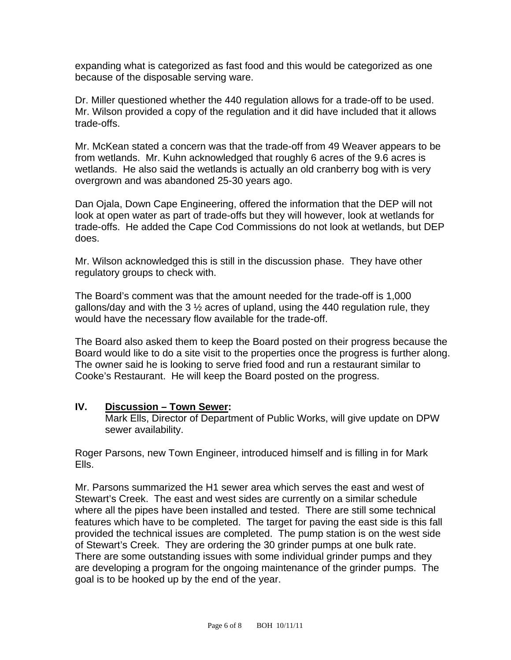expanding what is categorized as fast food and this would be categorized as one because of the disposable serving ware.

Dr. Miller questioned whether the 440 regulation allows for a trade-off to be used. Mr. Wilson provided a copy of the regulation and it did have included that it allows trade-offs.

Mr. McKean stated a concern was that the trade-off from 49 Weaver appears to be from wetlands. Mr. Kuhn acknowledged that roughly 6 acres of the 9.6 acres is wetlands. He also said the wetlands is actually an old cranberry bog with is very overgrown and was abandoned 25-30 years ago.

Dan Ojala, Down Cape Engineering, offered the information that the DEP will not look at open water as part of trade-offs but they will however, look at wetlands for trade-offs. He added the Cape Cod Commissions do not look at wetlands, but DEP does.

Mr. Wilson acknowledged this is still in the discussion phase. They have other regulatory groups to check with.

The Board's comment was that the amount needed for the trade-off is 1,000 gallons/day and with the 3  $\frac{1}{2}$  acres of upland, using the 440 regulation rule, they would have the necessary flow available for the trade-off.

The Board also asked them to keep the Board posted on their progress because the Board would like to do a site visit to the properties once the progress is further along. The owner said he is looking to serve fried food and run a restaurant similar to Cooke's Restaurant. He will keep the Board posted on the progress.

#### **IV. Discussion – Town Sewer:**

Mark Ells, Director of Department of Public Works, will give update on DPW sewer availability.

Roger Parsons, new Town Engineer, introduced himself and is filling in for Mark Ells.

Mr. Parsons summarized the H1 sewer area which serves the east and west of Stewart's Creek. The east and west sides are currently on a similar schedule where all the pipes have been installed and tested. There are still some technical features which have to be completed. The target for paving the east side is this fall provided the technical issues are completed. The pump station is on the west side of Stewart's Creek. They are ordering the 30 grinder pumps at one bulk rate. There are some outstanding issues with some individual grinder pumps and they are developing a program for the ongoing maintenance of the grinder pumps. The goal is to be hooked up by the end of the year.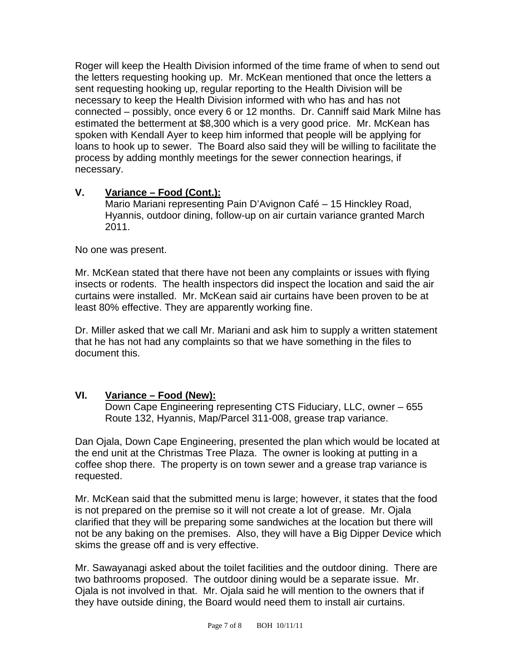Roger will keep the Health Division informed of the time frame of when to send out the letters requesting hooking up. Mr. McKean mentioned that once the letters a sent requesting hooking up, regular reporting to the Health Division will be necessary to keep the Health Division informed with who has and has not connected – possibly, once every 6 or 12 months. Dr. Canniff said Mark Milne has estimated the betterment at \$8,300 which is a very good price. Mr. McKean has spoken with Kendall Ayer to keep him informed that people will be applying for loans to hook up to sewer. The Board also said they will be willing to facilitate the process by adding monthly meetings for the sewer connection hearings, if necessary.

# **V. Variance – Food (Cont.):**

Mario Mariani representing Pain D'Avignon Café – 15 Hinckley Road, Hyannis, outdoor dining, follow-up on air curtain variance granted March 2011.

No one was present.

Mr. McKean stated that there have not been any complaints or issues with flying insects or rodents. The health inspectors did inspect the location and said the air curtains were installed. Mr. McKean said air curtains have been proven to be at least 80% effective. They are apparently working fine.

Dr. Miller asked that we call Mr. Mariani and ask him to supply a written statement that he has not had any complaints so that we have something in the files to document this.

# **VI. Variance – Food (New):**

Down Cape Engineering representing CTS Fiduciary, LLC, owner – 655 Route 132, Hyannis, Map/Parcel 311-008, grease trap variance.

Dan Ojala, Down Cape Engineering, presented the plan which would be located at the end unit at the Christmas Tree Plaza. The owner is looking at putting in a coffee shop there. The property is on town sewer and a grease trap variance is requested.

Mr. McKean said that the submitted menu is large; however, it states that the food is not prepared on the premise so it will not create a lot of grease. Mr. Ojala clarified that they will be preparing some sandwiches at the location but there will not be any baking on the premises. Also, they will have a Big Dipper Device which skims the grease off and is very effective.

Mr. Sawayanagi asked about the toilet facilities and the outdoor dining. There are two bathrooms proposed. The outdoor dining would be a separate issue. Mr. Ojala is not involved in that. Mr. Ojala said he will mention to the owners that if they have outside dining, the Board would need them to install air curtains.